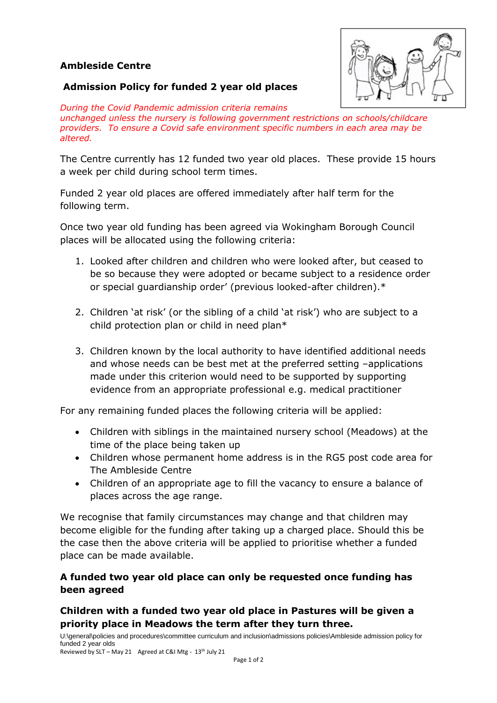### **Ambleside Centre**



#### **Admission Policy for funded 2 year old places**

*During the Covid Pandemic admission criteria remains unchanged unless the nursery is following government restrictions on schools/childcare providers. To ensure a Covid safe environment specific numbers in each area may be altered.*

The Centre currently has 12 funded two year old places. These provide 15 hours a week per child during school term times.

Funded 2 year old places are offered immediately after half term for the following term.

Once two year old funding has been agreed via Wokingham Borough Council places will be allocated using the following criteria:

- 1. Looked after children and children who were looked after, but ceased to be so because they were adopted or became subject to a residence order or special guardianship order' (previous looked-after children).\*
- 2. Children 'at risk' (or the sibling of a child 'at risk') who are subject to a child protection plan or child in need plan\*
- 3. Children known by the local authority to have identified additional needs and whose needs can be best met at the preferred setting –applications made under this criterion would need to be supported by supporting evidence from an appropriate professional e.g. medical practitioner

For any remaining funded places the following criteria will be applied:

- Children with siblings in the maintained nursery school (Meadows) at the time of the place being taken up
- Children whose permanent home address is in the RG5 post code area for The Ambleside Centre
- Children of an appropriate age to fill the vacancy to ensure a balance of places across the age range.

We recognise that family circumstances may change and that children may become eligible for the funding after taking up a charged place. Should this be the case then the above criteria will be applied to prioritise whether a funded place can be made available.

## **A funded two year old place can only be requested once funding has been agreed**

# **Children with a funded two year old place in Pastures will be given a priority place in Meadows the term after they turn three.**

U:\general\policies and procedures\committee curriculum and inclusion\admissions policies\Ambleside admission policy for funded 2 year olds Reviewed by SLT – May 21 Agreed at C&I Mtg - 13th July 21